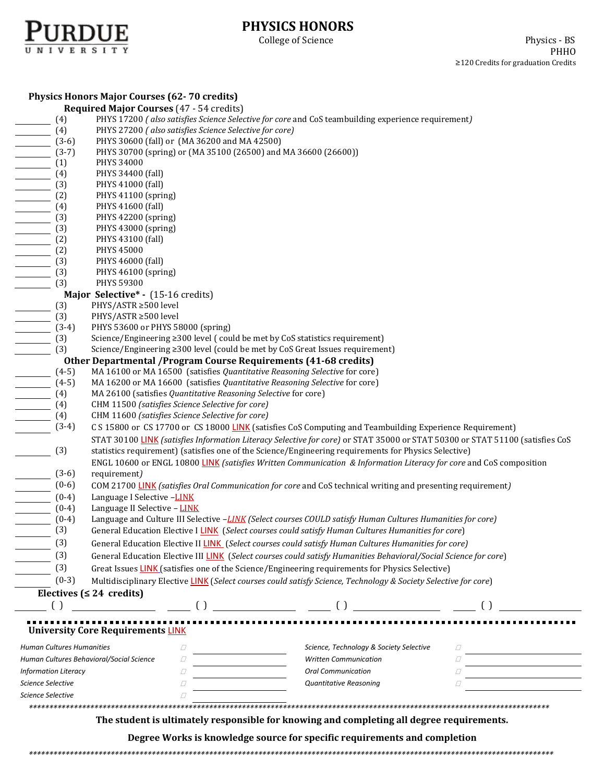

# **PHYSICS HONORS**

|                                                                           | <b>Physics Honors Major Courses (62-70 credits)</b>                                                                                            |                                         |             |  |  |  |  |
|---------------------------------------------------------------------------|------------------------------------------------------------------------------------------------------------------------------------------------|-----------------------------------------|-------------|--|--|--|--|
|                                                                           | <b>Required Major Courses (47 - 54 credits)</b>                                                                                                |                                         |             |  |  |  |  |
| (4)                                                                       | PHYS 17200 (also satisfies Science Selective for core and CoS teambuilding experience requirement)                                             |                                         |             |  |  |  |  |
| (4)                                                                       | PHYS 27200 (also satisfies Science Selective for core)                                                                                         |                                         |             |  |  |  |  |
| $(3-6)$                                                                   | PHYS 30600 (fall) or (MA 36200 and MA 42500)                                                                                                   |                                         |             |  |  |  |  |
| $(3-7)$                                                                   | PHYS 30700 (spring) or (MA 35100 (26500) and MA 36600 (26600))                                                                                 |                                         |             |  |  |  |  |
| (1)<br>$\mathcal{L}$                                                      | PHYS 34000                                                                                                                                     |                                         |             |  |  |  |  |
| (4)<br>$\overline{\phantom{a}}$                                           | PHYS 34400 (fall)                                                                                                                              |                                         |             |  |  |  |  |
| (3)                                                                       | PHYS 41000 (fall)                                                                                                                              |                                         |             |  |  |  |  |
| (2)                                                                       | PHYS 41100 (spring)                                                                                                                            |                                         |             |  |  |  |  |
| (4)                                                                       | PHYS 41600 (fall)                                                                                                                              |                                         |             |  |  |  |  |
| (3)                                                                       | PHYS 42200 (spring)                                                                                                                            |                                         |             |  |  |  |  |
| (3)                                                                       | PHYS 43000 (spring)                                                                                                                            |                                         |             |  |  |  |  |
| (2)                                                                       | PHYS 43100 (fall)                                                                                                                              |                                         |             |  |  |  |  |
| (2)                                                                       | PHYS 45000                                                                                                                                     |                                         |             |  |  |  |  |
| (3)                                                                       | PHYS 46000 (fall)                                                                                                                              |                                         |             |  |  |  |  |
| (3)                                                                       | PHYS 46100 (spring)                                                                                                                            |                                         |             |  |  |  |  |
| (3)                                                                       | PHYS 59300                                                                                                                                     |                                         |             |  |  |  |  |
|                                                                           | Major Selective* - (15-16 credits)                                                                                                             |                                         |             |  |  |  |  |
| (3)                                                                       | PHYS/ASTR ≥500 level                                                                                                                           |                                         |             |  |  |  |  |
| (3)                                                                       | PHYS/ASTR ≥500 level                                                                                                                           |                                         |             |  |  |  |  |
| $(3-4)$                                                                   | PHYS 53600 or PHYS 58000 (spring)                                                                                                              |                                         |             |  |  |  |  |
| (3)                                                                       | Science/Engineering ≥300 level (could be met by CoS statistics requirement)                                                                    |                                         |             |  |  |  |  |
| (3)                                                                       | Science/Engineering ≥300 level (could be met by CoS Great Issues requirement)                                                                  |                                         |             |  |  |  |  |
|                                                                           |                                                                                                                                                |                                         |             |  |  |  |  |
| $(4-5)$                                                                   | Other Departmental / Program Course Requirements (41-68 credits)<br>MA 16100 or MA 16500 (satisfies Quantitative Reasoning Selective for core) |                                         |             |  |  |  |  |
| $(4-5)$                                                                   | MA 16200 or MA 16600 (satisfies Quantitative Reasoning Selective for core)                                                                     |                                         |             |  |  |  |  |
| (4)                                                                       | MA 26100 (satisfies Quantitative Reasoning Selective for core)                                                                                 |                                         |             |  |  |  |  |
| (4)                                                                       | CHM 11500 (satisfies Science Selective for core)                                                                                               |                                         |             |  |  |  |  |
| (4)                                                                       | CHM 11600 (satisfies Science Selective for core)                                                                                               |                                         |             |  |  |  |  |
| $(3-4)$                                                                   | C S 15800 or CS 17700 or CS 18000 LINK (satisfies CoS Computing and Teambuilding Experience Requirement)                                       |                                         |             |  |  |  |  |
|                                                                           | STAT 30100 LINK (satisfies Information Literacy Selective for core) or STAT 35000 or STAT 50300 or STAT 51100 (satisfies CoS                   |                                         |             |  |  |  |  |
|                                                                           |                                                                                                                                                |                                         |             |  |  |  |  |
|                                                                           | (3)<br>statistics requirement) (satisfies one of the Science/Engineering requirements for Physics Selective)                                   |                                         |             |  |  |  |  |
|                                                                           | ENGL 10600 or ENGL 10800 LINK (satisfies Written Communication & Information Literacy for core and CoS composition                             |                                         |             |  |  |  |  |
| $(3-6)$                                                                   | requirement)                                                                                                                                   |                                         |             |  |  |  |  |
| $(0-6)$                                                                   | COM 21700 LINK (satisfies Oral Communication for core and CoS technical writing and presenting requirement)                                    |                                         |             |  |  |  |  |
| $(0-4)$                                                                   | Language I Selective -LINK                                                                                                                     |                                         |             |  |  |  |  |
| $(0-4)$                                                                   | Language II Selective - LINK                                                                                                                   |                                         |             |  |  |  |  |
| $(0-4)$                                                                   | Language and Culture III Selective -LINK (Select courses COULD satisfy Human Cultures Humanities for core)                                     |                                         |             |  |  |  |  |
|                                                                           | (3)<br>General Education Elective I LINK (Select courses could satisfy Human Cultures Humanities for core)                                     |                                         |             |  |  |  |  |
|                                                                           | (3)<br>General Education Elective II LINK (Select courses could satisfy Human Cultures Humanities for core)                                    |                                         |             |  |  |  |  |
| (3)                                                                       | General Education Elective III LINK (Select courses could satisfy Humanities Behavioral/Social Science for core)                               |                                         |             |  |  |  |  |
| (3)                                                                       | Great Issues LINK (satisfies one of the Science/Engineering requirements for Physics Selective)                                                |                                         |             |  |  |  |  |
| $(0-3)$                                                                   | Multidisciplinary Elective LINK (Select courses could satisfy Science, Technology & Society Selective for core)                                |                                         |             |  |  |  |  |
|                                                                           | Electives ( $\leq 24$ credits)                                                                                                                 |                                         |             |  |  |  |  |
|                                                                           |                                                                                                                                                |                                         |             |  |  |  |  |
|                                                                           |                                                                                                                                                |                                         |             |  |  |  |  |
|                                                                           | <b>University Core Requirements LINK</b>                                                                                                       |                                         |             |  |  |  |  |
| Human Cultures Humanities                                                 | 0                                                                                                                                              | Science, Technology & Society Selective | $\varOmega$ |  |  |  |  |
| Human Cultures Behavioral/Social Science                                  | Ω                                                                                                                                              | <b>Written Communication</b>            | $\sqrt{}$   |  |  |  |  |
| $\Box$<br><b>Oral Communication</b><br><b>Information Literacy</b><br>Ω   |                                                                                                                                                |                                         |             |  |  |  |  |
| Science Selective<br>$\Box$<br><b>Quantitative Reasoning</b><br>Ω         |                                                                                                                                                |                                         |             |  |  |  |  |
| Science Selective                                                         | 0                                                                                                                                              |                                         |             |  |  |  |  |
|                                                                           |                                                                                                                                                |                                         |             |  |  |  |  |
|                                                                           |                                                                                                                                                |                                         |             |  |  |  |  |
|                                                                           | The student is ultimately responsible for knowing and completing all degree requirements.                                                      |                                         |             |  |  |  |  |
| Degree Works is knowledge source for specific requirements and completion |                                                                                                                                                |                                         |             |  |  |  |  |

*\*\*\*\*\*\*\*\*\*\*\*\*\*\*\*\*\*\*\*\*\*\*\*\*\*\*\*\*\*\*\*\*\*\*\*\*\*\*\*\*\*\*\*\*\*\*\*\*\*\*\*\*\*\*\*\*\*\*\*\*\*\*\*\*\*\*\*\*\*\*\*\*\*\*\*\*\*\*\*\*\*\*\*\*\*\*\*\*\*\*\*\*\*\*\*\*\*\*\*\*\*\*\*\*\*\*\*\*\*\*\*\*\*\*\*\*\*\*\*\*\*\*\*\*\*\*\*\**